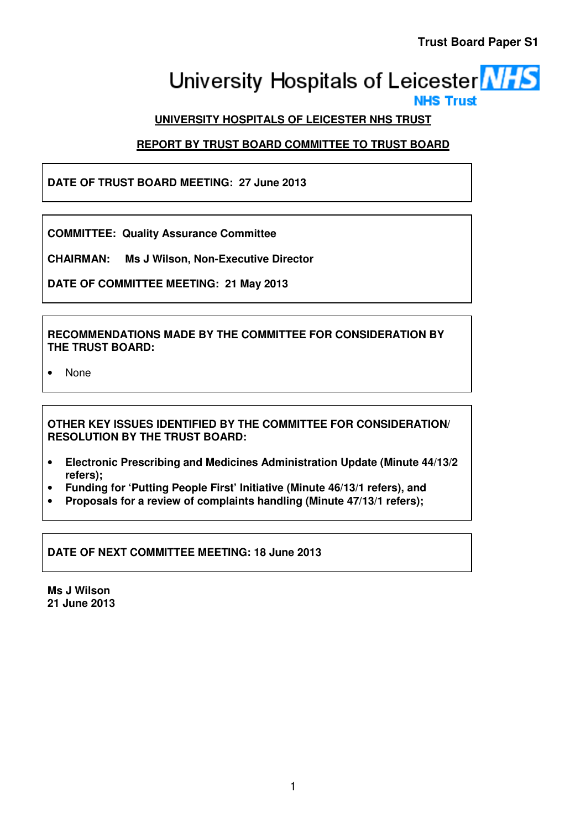# University Hospitals of Leicester **NHS**

# **UNIVERSITY HOSPITALS OF LEICESTER NHS TRUST**

# **REPORT BY TRUST BOARD COMMITTEE TO TRUST BOARD**

**DATE OF TRUST BOARD MEETING: 27 June 2013** 

**COMMITTEE: Quality Assurance Committee** 

**CHAIRMAN: Ms J Wilson, Non-Executive Director** 

**DATE OF COMMITTEE MEETING: 21 May 2013** 

**RECOMMENDATIONS MADE BY THE COMMITTEE FOR CONSIDERATION BY THE TRUST BOARD:** 

• None

**OTHER KEY ISSUES IDENTIFIED BY THE COMMITTEE FOR CONSIDERATION/ RESOLUTION BY THE TRUST BOARD:** 

- **Electronic Prescribing and Medicines Administration Update (Minute 44/13/2 refers);**
- **Funding for 'Putting People First' Initiative (Minute 46/13/1 refers), and**
- **Proposals for a review of complaints handling (Minute 47/13/1 refers);**

**DATE OF NEXT COMMITTEE MEETING: 18 June 2013** 

**Ms J Wilson 21 June 2013**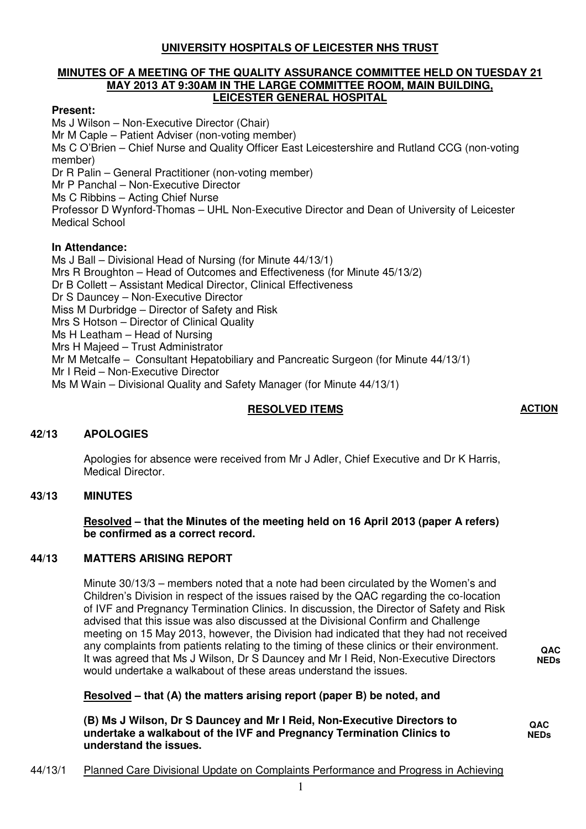# **UNIVERSITY HOSPITALS OF LEICESTER NHS TRUST**

#### **MINUTES OF A MEETING OF THE QUALITY ASSURANCE COMMITTEE HELD ON TUESDAY 21 MAY 2013 AT 9:30AM IN THE LARGE COMMITTEE ROOM, MAIN BUILDING, LEICESTER GENERAL HOSPITAL**

#### **Present:**

Ms J Wilson – Non-Executive Director (Chair) Mr M Caple – Patient Adviser (non-voting member) Ms C O'Brien – Chief Nurse and Quality Officer East Leicestershire and Rutland CCG (non-voting member) Dr R Palin – General Practitioner (non-voting member) Mr P Panchal – Non-Executive Director Ms C Ribbins – Acting Chief Nurse Professor D Wynford-Thomas – UHL Non-Executive Director and Dean of University of Leicester Medical School **In Attendance:**

Ms J Ball – Divisional Head of Nursing (for Minute 44/13/1) Mrs R Broughton – Head of Outcomes and Effectiveness (for Minute 45/13/2) Dr B Collett – Assistant Medical Director, Clinical Effectiveness Dr S Dauncey – Non-Executive Director Miss M Durbridge – Director of Safety and Risk Mrs S Hotson – Director of Clinical Quality Ms H Leatham – Head of Nursing Mrs H Majeed – Trust Administrator Mr M Metcalfe – Consultant Hepatobiliary and Pancreatic Surgeon (for Minute 44/13/1) Mr I Reid – Non-Executive Director Ms M Wain – Divisional Quality and Safety Manager (for Minute 44/13/1)

### **RESOLVED ITEMS ACTION**

#### **42/13 APOLOGIES**

Apologies for absence were received from Mr J Adler, Chief Executive and Dr K Harris, Medical Director.

#### **43/13 MINUTES**

 **Resolved – that the Minutes of the meeting held on 16 April 2013 (paper A refers) be confirmed as a correct record.** 

#### **44/13 MATTERS ARISING REPORT**

Minute 30/13/3 – members noted that a note had been circulated by the Women's and Children's Division in respect of the issues raised by the QAC regarding the co-location of IVF and Pregnancy Termination Clinics. In discussion, the Director of Safety and Risk advised that this issue was also discussed at the Divisional Confirm and Challenge meeting on 15 May 2013, however, the Division had indicated that they had not received any complaints from patients relating to the timing of these clinics or their environment. It was agreed that Ms J Wilson, Dr S Dauncey and Mr I Reid, Non-Executive Directors would undertake a walkabout of these areas understand the issues.

 **Resolved – that (A) the matters arising report (paper B) be noted, and** 

**(B) Ms J Wilson, Dr S Dauncey and Mr I Reid, Non-Executive Directors to undertake a walkabout of the IVF and Pregnancy Termination Clinics to understand the issues.** 

**QAC NEDs**

**QAC NEDs** 

#### 44/13/1 Planned Care Divisional Update on Complaints Performance and Progress in Achieving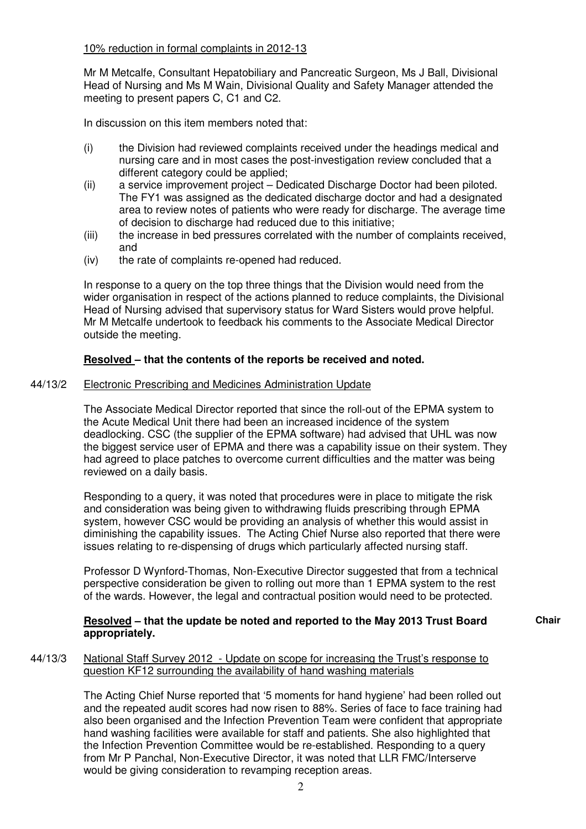#### 10% reduction in formal complaints in 2012-13

Mr M Metcalfe, Consultant Hepatobiliary and Pancreatic Surgeon, Ms J Ball, Divisional Head of Nursing and Ms M Wain, Divisional Quality and Safety Manager attended the meeting to present papers C, C1 and C2.

In discussion on this item members noted that:

- (i) the Division had reviewed complaints received under the headings medical and nursing care and in most cases the post-investigation review concluded that a different category could be applied;
- (ii) a service improvement project Dedicated Discharge Doctor had been piloted. The FY1 was assigned as the dedicated discharge doctor and had a designated area to review notes of patients who were ready for discharge. The average time of decision to discharge had reduced due to this initiative;
- (iii) the increase in bed pressures correlated with the number of complaints received, and
- (iv) the rate of complaints re-opened had reduced.

In response to a query on the top three things that the Division would need from the wider organisation in respect of the actions planned to reduce complaints, the Divisional Head of Nursing advised that supervisory status for Ward Sisters would prove helpful. Mr M Metcalfe undertook to feedback his comments to the Associate Medical Director outside the meeting.

## **Resolved – that the contents of the reports be received and noted.**

### 44/13/2 Electronic Prescribing and Medicines Administration Update

The Associate Medical Director reported that since the roll-out of the EPMA system to the Acute Medical Unit there had been an increased incidence of the system deadlocking. CSC (the supplier of the EPMA software) had advised that UHL was now the biggest service user of EPMA and there was a capability issue on their system. They had agreed to place patches to overcome current difficulties and the matter was being reviewed on a daily basis.

Responding to a query, it was noted that procedures were in place to mitigate the risk and consideration was being given to withdrawing fluids prescribing through EPMA system, however CSC would be providing an analysis of whether this would assist in diminishing the capability issues. The Acting Chief Nurse also reported that there were issues relating to re-dispensing of drugs which particularly affected nursing staff.

Professor D Wynford-Thomas, Non-Executive Director suggested that from a technical perspective consideration be given to rolling out more than 1 EPMA system to the rest of the wards. However, the legal and contractual position would need to be protected.

#### **Resolved – that the update be noted and reported to the May 2013 Trust Board appropriately.**

**Chair**

# 44/13/3 National Staff Survey 2012 - Update on scope for increasing the Trust's response to question KF12 surrounding the availability of hand washing materials

The Acting Chief Nurse reported that '5 moments for hand hygiene' had been rolled out and the repeated audit scores had now risen to 88%. Series of face to face training had also been organised and the Infection Prevention Team were confident that appropriate hand washing facilities were available for staff and patients. She also highlighted that the Infection Prevention Committee would be re-established. Responding to a query from Mr P Panchal, Non-Executive Director, it was noted that LLR FMC/Interserve would be giving consideration to revamping reception areas.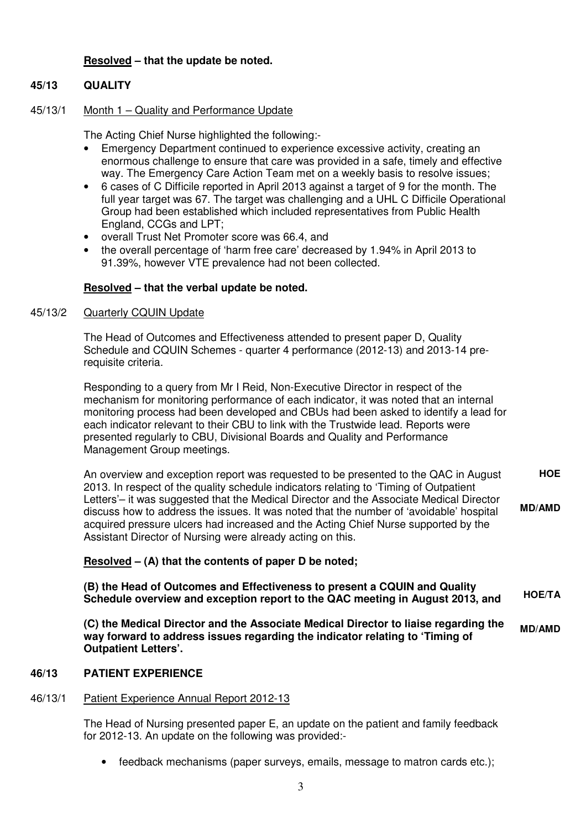### **Resolved – that the update be noted.**

### **45/13 QUALITY**

#### 45/13/1 Month 1 – Quality and Performance Update

The Acting Chief Nurse highlighted the following:-

- Emergency Department continued to experience excessive activity, creating an enormous challenge to ensure that care was provided in a safe, timely and effective way. The Emergency Care Action Team met on a weekly basis to resolve issues;
- 6 cases of C Difficile reported in April 2013 against a target of 9 for the month. The full year target was 67. The target was challenging and a UHL C Difficile Operational Group had been established which included representatives from Public Health England, CCGs and LPT;
- overall Trust Net Promoter score was 66.4, and
- the overall percentage of 'harm free care' decreased by 1.94% in April 2013 to 91.39%, however VTE prevalence had not been collected.

#### **Resolved – that the verbal update be noted.**

#### 45/13/2 Quarterly CQUIN Update

 The Head of Outcomes and Effectiveness attended to present paper D, Quality Schedule and CQUIN Schemes - quarter 4 performance (2012-13) and 2013-14 prerequisite criteria.

 Responding to a query from Mr I Reid, Non-Executive Director in respect of the mechanism for monitoring performance of each indicator, it was noted that an internal monitoring process had been developed and CBUs had been asked to identify a lead for each indicator relevant to their CBU to link with the Trustwide lead. Reports were presented regularly to CBU, Divisional Boards and Quality and Performance Management Group meetings.

 An overview and exception report was requested to be presented to the QAC in August 2013. In respect of the quality schedule indicators relating to 'Timing of Outpatient Letters'– it was suggested that the Medical Director and the Associate Medical Director discuss how to address the issues. It was noted that the number of 'avoidable' hospital acquired pressure ulcers had increased and the Acting Chief Nurse supported by the Assistant Director of Nursing were already acting on this. **HOE MD/AMD**

#### **Resolved – (A) that the contents of paper D be noted;**

**(B) the Head of Outcomes and Effectiveness to present a CQUIN and Quality Schedule overview and exception report to the QAC meeting in August 2013, and HOE/TA**

**(C) the Medical Director and the Associate Medical Director to liaise regarding the way forward to address issues regarding the indicator relating to 'Timing of Outpatient Letters'. MD/AMD**

#### **46/13 PATIENT EXPERIENCE**

#### 46/13/1 Patient Experience Annual Report 2012-13

The Head of Nursing presented paper E, an update on the patient and family feedback for 2012-13. An update on the following was provided:-

• feedback mechanisms (paper surveys, emails, message to matron cards etc.);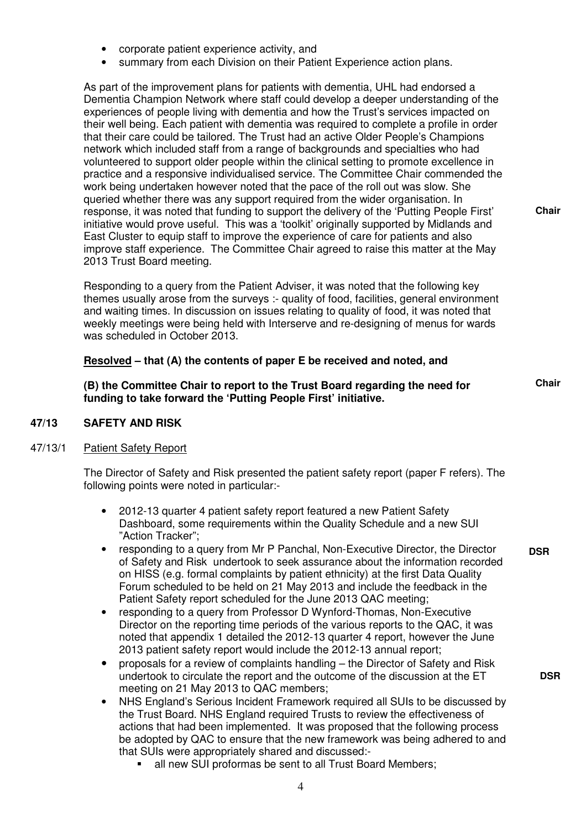- corporate patient experience activity, and
- summary from each Division on their Patient Experience action plans.

As part of the improvement plans for patients with dementia, UHL had endorsed a Dementia Champion Network where staff could develop a deeper understanding of the experiences of people living with dementia and how the Trust's services impacted on their well being. Each patient with dementia was required to complete a profile in order that their care could be tailored. The Trust had an active Older People's Champions network which included staff from a range of backgrounds and specialties who had volunteered to support older people within the clinical setting to promote excellence in practice and a responsive individualised service. The Committee Chair commended the work being undertaken however noted that the pace of the roll out was slow. She queried whether there was any support required from the wider organisation. In response, it was noted that funding to support the delivery of the 'Putting People First' initiative would prove useful. This was a 'toolkit' originally supported by Midlands and East Cluster to equip staff to improve the experience of care for patients and also improve staff experience. The Committee Chair agreed to raise this matter at the May 2013 Trust Board meeting.

Responding to a query from the Patient Adviser, it was noted that the following key themes usually arose from the surveys :- quality of food, facilities, general environment and waiting times. In discussion on issues relating to quality of food, it was noted that weekly meetings were being held with Interserve and re-designing of menus for wards was scheduled in October 2013.

### **Resolved – that (A) the contents of paper E be received and noted, and**

**(B) the Committee Chair to report to the Trust Board regarding the need for funding to take forward the 'Putting People First' initiative.** 

**Chair**

**DSR**

**Chair**

#### **47/13 SAFETY AND RISK**

#### 47/13/1 Patient Safety Report

 The Director of Safety and Risk presented the patient safety report (paper F refers). The following points were noted in particular:-

- 2012-13 quarter 4 patient safety report featured a new Patient Safety Dashboard, some requirements within the Quality Schedule and a new SUI "Action Tracker";
- responding to a query from Mr P Panchal, Non-Executive Director, the Director of Safety and Risk undertook to seek assurance about the information recorded on HISS (e.g. formal complaints by patient ethnicity) at the first Data Quality Forum scheduled to be held on 21 May 2013 and include the feedback in the Patient Safety report scheduled for the June 2013 QAC meeting; **DSR**
- responding to a query from Professor D Wynford-Thomas, Non-Executive Director on the reporting time periods of the various reports to the QAC, it was noted that appendix 1 detailed the 2012-13 quarter 4 report, however the June 2013 patient safety report would include the 2012-13 annual report;
- proposals for a review of complaints handling the Director of Safety and Risk undertook to circulate the report and the outcome of the discussion at the ET meeting on 21 May 2013 to QAC members;
- NHS England's Serious Incident Framework required all SUIs to be discussed by the Trust Board. NHS England required Trusts to review the effectiveness of actions that had been implemented. It was proposed that the following process be adopted by QAC to ensure that the new framework was being adhered to and that SUIs were appropriately shared and discussed:
	- all new SUI proformas be sent to all Trust Board Members;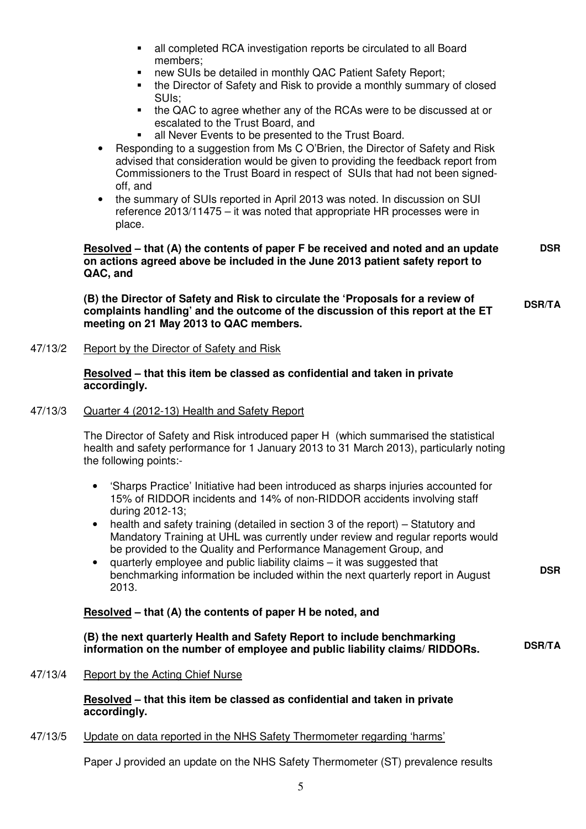- all completed RCA investigation reports be circulated to all Board members;
- new SUIs be detailed in monthly QAC Patient Safety Report;
- the Director of Safety and Risk to provide a monthly summary of closed SUIs;
- the QAC to agree whether any of the RCAs were to be discussed at or escalated to the Trust Board, and
- all Never Events to be presented to the Trust Board.
- Responding to a suggestion from Ms C O'Brien, the Director of Safety and Risk advised that consideration would be given to providing the feedback report from Commissioners to the Trust Board in respect of SUIs that had not been signedoff, and
- the summary of SUIs reported in April 2013 was noted. In discussion on SUI reference 2013/11475 – it was noted that appropriate HR processes were in place.

#### **Resolved – that (A) the contents of paper F be received and noted and an update on actions agreed above be included in the June 2013 patient safety report to QAC, and DSR**

**(B) the Director of Safety and Risk to circulate the 'Proposals for a review of complaints handling' and the outcome of the discussion of this report at the ET meeting on 21 May 2013 to QAC members. DSR/TA**

47/13/2 Report by the Director of Safety and Risk

#### **Resolved – that this item be classed as confidential and taken in private accordingly.**

#### 47/13/3 Quarter 4 (2012-13) Health and Safety Report

 The Director of Safety and Risk introduced paper H (which summarised the statistical health and safety performance for 1 January 2013 to 31 March 2013), particularly noting the following points:-

- 'Sharps Practice' Initiative had been introduced as sharps injuries accounted for 15% of RIDDOR incidents and 14% of non-RIDDOR accidents involving staff during 2012-13;
- health and safety training (detailed in section 3 of the report) Statutory and Mandatory Training at UHL was currently under review and regular reports would be provided to the Quality and Performance Management Group, and
- quarterly employee and public liability claims it was suggested that benchmarking information be included within the next quarterly report in August 2013.

#### **Resolved – that (A) the contents of paper H be noted, and**

**(B) the next quarterly Health and Safety Report to include benchmarking information on the number of employee and public liability claims/ RIDDORs. DSR/TA**

**DSR**

47/13/4 Report by the Acting Chief Nurse

 **Resolved – that this item be classed as confidential and taken in private accordingly.** 

#### 47/13/5 Update on data reported in the NHS Safety Thermometer regarding 'harms'

Paper J provided an update on the NHS Safety Thermometer (ST) prevalence results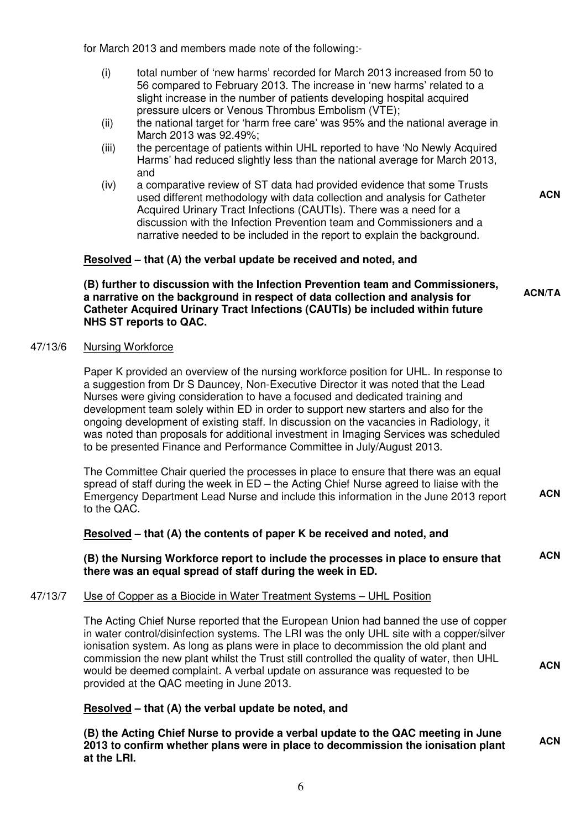for March 2013 and members made note of the following:-

- (i) total number of 'new harms' recorded for March 2013 increased from 50 to 56 compared to February 2013. The increase in 'new harms' related to a slight increase in the number of patients developing hospital acquired pressure ulcers or Venous Thrombus Embolism (VTE);
- (ii) the national target for 'harm free care' was 95% and the national average in March 2013 was 92.49%;
- (iii) the percentage of patients within UHL reported to have 'No Newly Acquired Harms' had reduced slightly less than the national average for March 2013, and
- (iv) a comparative review of ST data had provided evidence that some Trusts used different methodology with data collection and analysis for Catheter Acquired Urinary Tract Infections (CAUTIs). There was a need for a discussion with the Infection Prevention team and Commissioners and a narrative needed to be included in the report to explain the background.

#### **Resolved – that (A) the verbal update be received and noted, and**

**(B) further to discussion with the Infection Prevention team and Commissioners, a narrative on the background in respect of data collection and analysis for Catheter Acquired Urinary Tract Infections (CAUTIs) be included within future NHS ST reports to QAC.** 

#### 47/13/6 Nursing Workforce

 Paper K provided an overview of the nursing workforce position for UHL. In response to a suggestion from Dr S Dauncey, Non-Executive Director it was noted that the Lead Nurses were giving consideration to have a focused and dedicated training and development team solely within ED in order to support new starters and also for the ongoing development of existing staff. In discussion on the vacancies in Radiology, it was noted than proposals for additional investment in Imaging Services was scheduled to be presented Finance and Performance Committee in July/August 2013.

 The Committee Chair queried the processes in place to ensure that there was an equal spread of staff during the week in ED – the Acting Chief Nurse agreed to liaise with the Emergency Department Lead Nurse and include this information in the June 2013 report to the QAC. **ACN**

#### **Resolved – that (A) the contents of paper K be received and noted, and**

**(B) the Nursing Workforce report to include the processes in place to ensure that there was an equal spread of staff during the week in ED. ACN**

#### 47/13/7 Use of Copper as a Biocide in Water Treatment Systems – UHL Position

The Acting Chief Nurse reported that the European Union had banned the use of copper in water control/disinfection systems. The LRI was the only UHL site with a copper/silver ionisation system. As long as plans were in place to decommission the old plant and commission the new plant whilst the Trust still controlled the quality of water, then UHL would be deemed complaint. A verbal update on assurance was requested to be provided at the QAC meeting in June 2013.

#### **Resolved – that (A) the verbal update be noted, and**

**(B) the Acting Chief Nurse to provide a verbal update to the QAC meeting in June 2013 to confirm whether plans were in place to decommission the ionisation plant at the LRI. ACN**

**ACN/TA**

**ACN**

**ACN**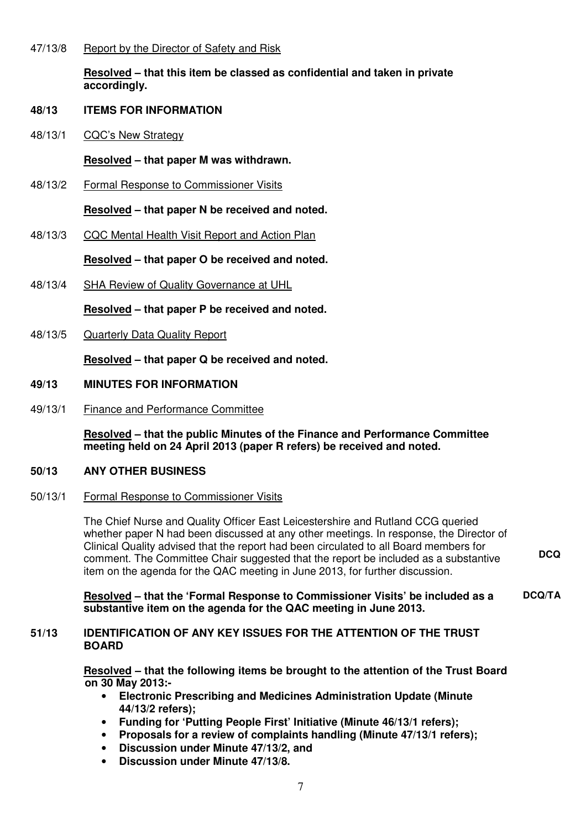#### 47/13/8 Report by the Director of Safety and Risk

 **Resolved – that this item be classed as confidential and taken in private accordingly.** 

#### **48/13 ITEMS FOR INFORMATION**

48/13/1 CQC's New Strategy

#### **Resolved – that paper M was withdrawn.**

48/13/2 Formal Response to Commissioner Visits

#### **Resolved – that paper N be received and noted.**

48/13/3 CQC Mental Health Visit Report and Action Plan

#### **Resolved – that paper O be received and noted.**

48/13/4 SHA Review of Quality Governance at UHL

 **Resolved – that paper P be received and noted.** 

48/13/5 Quarterly Data Quality Report

 **Resolved – that paper Q be received and noted.** 

#### **49/13 MINUTES FOR INFORMATION**

49/13/1 Finance and Performance Committee

 **Resolved – that the public Minutes of the Finance and Performance Committee meeting held on 24 April 2013 (paper R refers) be received and noted.** 

#### **50/13 ANY OTHER BUSINESS**

#### 50/13/1 Formal Response to Commissioner Visits

 The Chief Nurse and Quality Officer East Leicestershire and Rutland CCG queried whether paper N had been discussed at any other meetings. In response, the Director of Clinical Quality advised that the report had been circulated to all Board members for comment. The Committee Chair suggested that the report be included as a substantive item on the agenda for the QAC meeting in June 2013, for further discussion. **DCQ**

 **Resolved – that the 'Formal Response to Commissioner Visits' be included as a substantive item on the agenda for the QAC meeting in June 2013. DCQ/TA**

#### **51/13 IDENTIFICATION OF ANY KEY ISSUES FOR THE ATTENTION OF THE TRUST BOARD**

 **Resolved – that the following items be brought to the attention of the Trust Board on 30 May 2013:-** 

- **Electronic Prescribing and Medicines Administration Update (Minute 44/13/2 refers);**
- **Funding for 'Putting People First' Initiative (Minute 46/13/1 refers);**
- **Proposals for a review of complaints handling (Minute 47/13/1 refers);**
- **Discussion under Minute 47/13/2, and**
- **Discussion under Minute 47/13/8.**